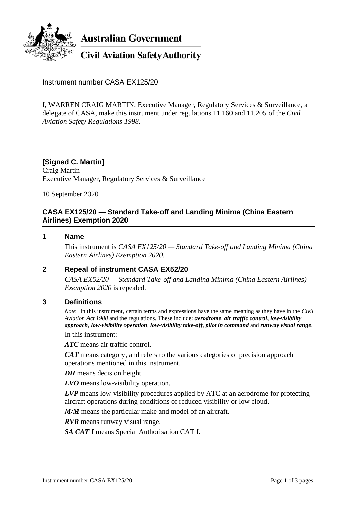

**Australian Government** 

**Civil Aviation Safety Authority** 

Instrument number CASA EX125/20

I, WARREN CRAIG MARTIN, Executive Manager, Regulatory Services & Surveillance, a delegate of CASA, make this instrument under regulations 11.160 and 11.205 of the *Civil Aviation Safety Regulations 1998*.

## **[Signed C. Martin]**

Craig Martin Executive Manager, Regulatory Services & Surveillance

10 September 2020

## **CASA EX125/20 — Standard Take-off and Landing Minima (China Eastern Airlines) Exemption 2020**

#### **1 Name**

This instrument is *CASA EX125/20 — Standard Take-off and Landing Minima (China Eastern Airlines) Exemption 2020*.

### **2 Repeal of instrument CASA EX52/20**

*CASA EX52/20 — Standard Take-off and Landing Minima (China Eastern Airlines) Exemption 2020* is repealed.

#### **3 Definitions**

*Note* In this instrument, certain terms and expressions have the same meaning as they have in the *Civil Aviation Act 1988* and the regulations. These include: *aerodrome*, *air traffic control*, *low-visibility approach*, *low-visibility operation*, *low-visibility take-off*, *pilot in command* and *runway visual range*. In this instrument:

*ATC* means air traffic control.

*CAT* means category, and refers to the various categories of precision approach operations mentioned in this instrument.

*DH* means decision height.

*LVO* means low-visibility operation.

*LVP* means low-visibility procedures applied by ATC at an aerodrome for protecting aircraft operations during conditions of reduced visibility or low cloud.

*M/M* means the particular make and model of an aircraft.

*RVR* means runway visual range.

*SA CAT I* means Special Authorisation CAT I.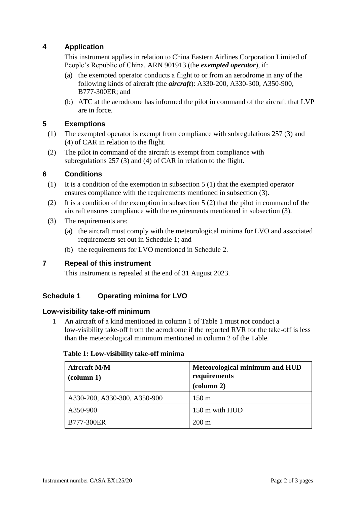## **4 Application**

This instrument applies in relation to China Eastern Airlines Corporation Limited of People's Republic of China, ARN 901913 (the *exempted operator*), if:

- (a) the exempted operator conducts a flight to or from an aerodrome in any of the following kinds of aircraft (the *aircraft*): A330-200, A330-300, A350-900, B777-300ER; and
- (b) ATC at the aerodrome has informed the pilot in command of the aircraft that LVP are in force.

## **5 Exemptions**

- (1) The exempted operator is exempt from compliance with subregulations 257 (3) and (4) of CAR in relation to the flight.
- (2) The pilot in command of the aircraft is exempt from compliance with subregulations 257 (3) and (4) of CAR in relation to the flight.

## **6 Conditions**

- (1) It is a condition of the exemption in subsection 5 (1) that the exempted operator ensures compliance with the requirements mentioned in subsection (3).
- (2) It is a condition of the exemption in subsection 5 (2) that the pilot in command of the aircraft ensures compliance with the requirements mentioned in subsection (3).
- (3) The requirements are:
	- (a) the aircraft must comply with the meteorological minima for LVO and associated requirements set out in Schedule 1; and
	- (b) the requirements for LVO mentioned in Schedule 2.

### **7 Repeal of this instrument**

This instrument is repealed at the end of 31 August 2023.

## **Schedule 1 Operating minima for LVO**

### **Low-visibility take-off minimum**

1 An aircraft of a kind mentioned in column 1 of Table 1 must not conduct a low-visibility take-off from the aerodrome if the reported RVR for the take-off is less than the meteorological minimum mentioned in column 2 of the Table.

| <b>Aircraft M/M</b><br>$\alpha$ (column 1) | Meteorological minimum and HUD<br>requirements<br>$\left(\text{column } 2\right)$ |
|--------------------------------------------|-----------------------------------------------------------------------------------|
| A330-200, A330-300, A350-900               | $150 \text{ m}$                                                                   |
| A350-900                                   | 150 m with HUD                                                                    |
| <b>B777-300ER</b>                          | $200 \text{ m}$                                                                   |

#### **Table 1: Low-visibility take-off minima**